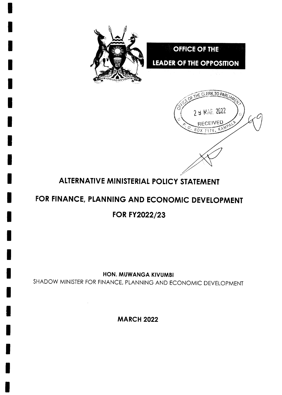

2 9 MAR 2022

**RECEIVED** 

 $80X$   $7178$ ,

KAM



# FOR FINANCE, PLANNING AND ECONOMIC DEVELOPMENT

**FOR FY2022/23** 

HON. MUWANGA KIVUMBI

SHADOW MINISTER FOR FINANCE, PLANNING AND ECONOMIC DEVELOPMENT

**MARCH 2022**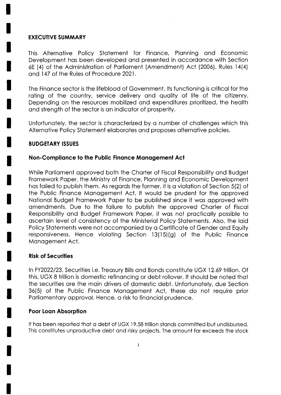### **EXECUTIVE SUMMARY**

This Alternative Policy Statement for Finance, Planning and Economic Development has been developed and presented in accordance with Section 6E (4) of the Administration of Parliament (Amendment) Act (2006), Rules 14(4) and 147 of the Rules of Procedure 2021.

The Finance sector is the lifeblood of Government. Its functioning is critical for the rating of the country, service delivery and quality of life of the citizenry. Depending on the resources mobilized and expenditures prioritized, the health and strength of the sector is an indicator of prosperity.

Unfortunately, the sector is characterized by a number of challenges which this Alternative Policy Statement elaborates and proposes alternative policies.

# **BUDGETARY ISSUES**

# Non-Compliance to the Public Finance Management Act

While Parliament approved both the Charter of Fiscal Responsibility and Budget Framework Paper, the Ministry of Finance, Planning and Economic Development has failed to publish them. As regards the former, it is a violation of Section 5(2) of the Public Finance Management Act. It would be prudent for the approved National Budget Framework Paper to be published since it was approved with amendments. Due to the failure to publish the approved Charter of Fiscal Responsibility and Budget Framework Paper, it was not practically possible to ascertain level of consistency of the Ministerial Policy Statements. Also, the laid Policy Statements were not accompanied by a Certificate of Gender and Equity responsiveness. Hence violating Section 13(15)(g) of the Public Finance Management Act.

### **Risk of Securities**

In FY2022/23, Securities i.e. Treasury Bills and Bonds constitute UGX 12.69 trillion. Of this, UGX 8 trillion is domestic refinancing or debt rollover. It should be noted that the securities are the main drivers of domestic debt. Unfortunately, due Section 36(5) of the Public Finance Management Act, these do not require prior Parliamentary approval. Hence, a risk to financial prudence.

# **Poor Loan Absorption**

It has been reported that a debt of UGX 19.58 trillion stands committed but undisbursed. This constitutes unproductive debt and risky projects. The amount far exceeds the stock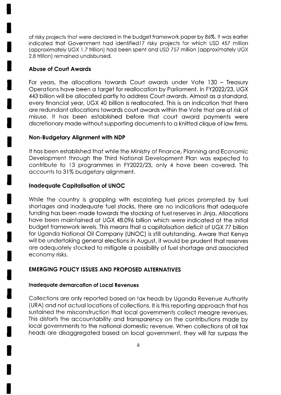of risky projects thot were declored in the budget fromework poper by 86%.lt wos eorlier indicated that Government had identified 17 risky projects for which USD 457 million (opproximotely UGX I.7 trillion) hod been spent ond USD 752 million (opproximotely UGX 2.8 trillion) remoined undisbursed.

# Abuse of Court Awords

For years, the allocations towards Court awards under Vote 130 – Treasury Operations have been a taraet for reallocation by Parliament. In FY2022/23, UGX 443 billion will be ollocoted portly to oddress Court owords. Almost os o stondord, every finonciol yeor, UGX 40 billion is reollocoted. This is on indicotion thot there ore redundont ollocotions towords court owords within the Vote thot ore of risk of misuse. lt hos been estoblished before thot court oword poyments were discretionary made without supporting documents to a knitted clique of law firms.

# Non-Budgetary Alignment with NDP

It hos been estoblished thot while the Ministry of Finonce, Plonning ond Economic Development through the Third Notionol Development Plon wos expected to contribute to i3 progrommes in FY2022123, only 4 hove been covered. This accounts to 31% budgetary alignment.

# lnodequote Copitolisotion of UNOC

While the country is grappling with escalating fuel prices prompted by fuel shortoges ond inodequote fuel stocks, there ore no indicotions thot odequote funding hos been mode towords the stocking of fuel reserves in Jinjo. Allocotions hove been mointoined of UGX 48.096 billion which were indicoted of the initiol budget fromework levels. This meons thot o copitolisotion deficit of UGX 77 billion for Uganda National Oil Company (UNOC) is still outstanding. Aware that Kenya will be undertoking generol elections in August, it would be prudent thot reserves ore odequotely stocked to mitigote o possibility of fuel shortoge ond ossocioted economy risks.

# EMERGING POLICY ISSUES AND PROPOSED AITERNATIVES

### Inadequate demarcation of Local Revenues

Collections ore only reported bosed on tox heods by Ugondo Revenue Authority (URA) ond not octuol locotions of collections. lt is this reporting opprooch thot hos sustained the misconstruction that local governments collect meagre revenues. This distorts the accountability and transparency on the contributions made by local governments to the national domestic revenue. When collections of all tax heods ore disoggregoted bosed on locol government, they will for surposs the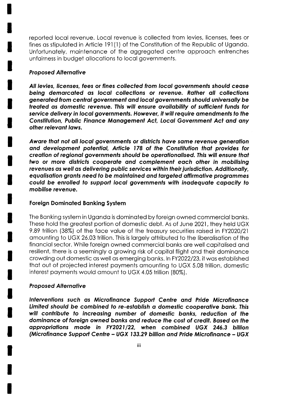reported locol revenue. Locol revenue is collected from levies, licenses, fees or fines as stipulated in Article 191(1) of the Constitution of the Republic of Uganda. Unfortunotely, mointenonce of the oggregoted centre opprooch entrenches unfairness in budget allocations to local governments.

#### Proposed Alternotive

All levies, licenses, fees or fines collecfed from locol governmenfs should ceose being demarcated as local collections or revenue. Rather all collections generated from central government and local governments should universally be freofed os domesfic revenue. Ihis will ensure ovoilobilily of sufficienf funds for seryice delivery in local governmenfs. However, it will require omendmenfs fo fhe Constitution, Public Finance Management Act, Local Government Act and any other relevont lows.

Aware that not all local governments or districts have same revenue generation ond development potentiol, Article 178 of fhe Constitution thot provides for creation of regional governments should be operationalised. This will ensure that two or more districts cooperate and complement each other in mobilising revenues as well as delivering public services within their jurisdiction. Additionally, equalisation grants need to be maintained and targeted affirmative programmes covld be enrolled fo supporl locol goyernments with inodequofe copocity to mobilise reyenue.

### Foreign Dominoted Bonking Syslem

The Bonking system in Ugondo is dominoted by foreign owned commerciol bonks. These hold the greotest portion of domestic debt. As of June 2021, they held UGX 9.89 trillion (38%) of the foce volue of the treosury securities roised in FY2020/21 omounting to UGX 26.03 trillion. This is lorgely ottributed to the liberolisotion of the finonciol sector. While foreign owned commerciol bonks ore well copitolised ond resilient, there is a seemingly a growing risk of capital flight and their dominance crowding out domestic as well as emerging banks. In FY2022/23, it was established thot out of projected interest poyments omounting to UGX 5.08 trillion, domestic interest poyments would omount to UGX 4.05 trillion (80%).

#### Proposed Alternotive

lnterventions such os Microfinonce Supporf Cenfre ond Pride Microfinonce Limited should be combined fo re-esfoblish o domesfic cooperolive bonk. Ihis will contribute to increasing number of domestic banks, reduction of the dominonce of foreign owned bonks ond reduce fhe cosf of credit. Bosed on the oppropriofions mode in FY202l /22, when combined UGX 246.3 billion (Microfinance Support Centre - UGX 133.29 billion and Pride Microfinance - UGX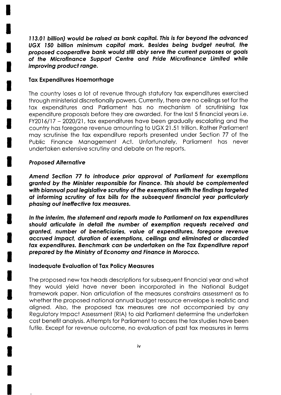113.01 billion) would be raised as bank capital. This is far beyond the advanced UGX 150 billion minimum capital mark. Besides being budget neutral, the proposed cooperative bank would still ably serve the current purposes or goals of the Microfinance Support Centre and Pride Microfinance Limited while improving product range.

#### **Tax Expenditures Haemorrhage**

The country loses a lot of revenue through statutory tax expenditures exercised through ministerial discretionally powers. Currently, there are no ceilings set for the tax expenditures and Parliament has no mechanism of scrutinising tax expenditure proposals before they are awarded. For the last 5 financial years i.e. FY2016/17 - 2020/21, tax expenditures have been gradually escalating and the country has foregone revenue amounting to UGX 21.51 trillion. Rather Parliament may scrutinise the tax expenditure reports presented under Section 77 of the Public Finance Management Act. Unfortunately, Parliament has never undertaken extensive scrutiny and debate on the reports.

### **Proposed Alternative**

Amend Section 77 to introduce prior approval of Parliament for exemptions granted by the Minister responsible for Finance. This should be complemented with biannual post legislative scrutiny of the exemptions with the findings targeted at informing scrutiny of tax bills for the subsequent financial year particularly phasing out ineffective tax measures.

In the interim, the statement and reports made to Parliament on tax expenditures should articulate in detail the number of exemption requests received and granted, number of beneficiaries, value of expenditures, foregone revenue accrued impact, duration of exemptions, ceilings and eliminated or discarded tax expenditures. Benchmark can be undertaken on the Tax Expenditure report prepared by the Ministry of Economy and Finance in Morocco.

#### Inadequate Evaluation of Tax Policy Measures

The proposed new tax heads descriptions for subsequent financial year and what they would yield have never been incorporated in the National Budget framework paper. Non articulation of the measures constrains assessment as to whether the proposed national annual budget resource envelope is realistic and aligned. Also, the proposed tax measures are not accompanied by any Regulatory Impact Assessment (RIA) to aid Parliament determine the undertaken cost benefit analysis. Attempts for Parliament to access the tax studies have been futile. Except for revenue outcome, no evaluation of past tax measures in terms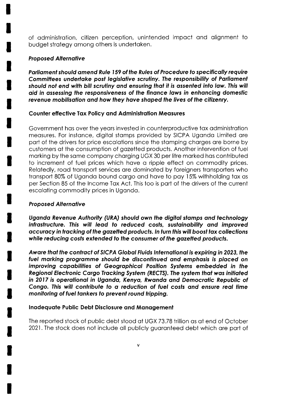of administration, citizen perception, unintended impact and alignment to budget strategy among others is undertaken.

# **Proposed Alternative**

Parliament should amend Rule 159 of the Rules of Procedure to specifically require Committees undertake post legislative scrutiny. The responsibility of Parliament should not end with bill scrutiny and ensuring that it is assented into law. This will aid in assessing the responsiveness of the finance laws in enhancing domestic revenue mobilisation and how they have shaped the lives of the citizenry.

# **Counter effective Tax Policy and Administration Measures**

Government has over the years invested in counterproductive tax administration measures. For instance, digital stamps provided by SICPA Uganda Limited are part of the drivers for price escalations since the stamping charges are borne by customers at the consumption of gazetted products. Another intervention of fuel marking by the same company charging UGX 30 per litre marked has contributed to increment of fuel prices which have a ripple effect on commodity prices. Relatedly, road transport services are dominated by foreigners transporters who transport 80% of Uganda bound cargo and have to pay 15% withholding tax as per Section 85 of the Income Tax Act. This too is part of the drivers of the current escalating commodity prices in Uganda.

# **Proposed Alternative**

Uganda Revenue Authority (URA) should own the digital stamps and technology infrastructure. This will lead to reduced costs, sustainability and improved accuracy in tracking of the gazetted products. In turn this will boost tax collections while reducing costs extended to the consumer of the gazetted products.

Aware that the contract of SICPA Global Fluids International is expiring in 2023, the fuel marking programme should be discontinued and emphasis is placed on improving capabilities of Geographical Position Systems embedded in the Regional Electronic Cargo Tracking System (RECTS). The system that was initiated in 2017 is operational in Uganda, Kenya, Rwanda and Democratic Republic of Congo. This will contribute to a reduction of fuel costs and ensure real time monitoring of fuel tankers to prevent round tripping.

# Inadequate Public Debt Disclosure and Management

The reported stock of public debt stood at UGX 73.78 trillion as at end of October 2021. The stock does not include all publicly guaranteed debt which are part of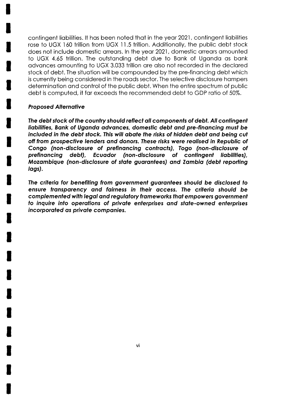contingent liobilities. lt hos been noted thot in the yeor 2021 , contingent liobilities comingent habilities. It has been noted that in the year 2021, comingent habilities does not include domestic orreors. ln the yeor 2021 , domestic orreors omounted to UGX 4.65 trillion. The outstonding debt due to Bonk of Ugondo os bonk odvonces omounting to UGX 3.033 trillion ore olso not recorded in the declored stock of debt. The situation will be compounded by the pre-financing debt which is currently being considered in the roods sector. The selective disclosure hompers determinotion ond control of the public debt. When the entire spectrum of public debt is computed, it for exceeds the recommended debt to GDP rotio of 50%.

### **Proposed Alternative**

The debt stock of the country should reflect all components of debt. All contingent liobilities, Bonk of Ugondq odvonces, domesfic debf ond pre-finoncing musf be included in the debt stock. This will abate the risks of hidden debt and being cut off from prospecfiye lenders ond donors. Ihese risks were reolised in Republic of Congo (non-disclosure of prefinancing contracts), Togo (non-disclosure of prefinancing debt), Ecuodor (non-disclosure of contingeni liobilities), Mozombique (non-disclosure of sfofe guorontees) ond Zombio (debt reporting logs).

The criteria for benefiting from government guarantees should be disclosed to ensure transparency and fairness in their access. The criteria should be complemenfed wilh legol ond regulotory fromeworks fhof empowers government to inquire info operofions of privote enferprises ond sfofe-owned enferprises incorporofed os private componies.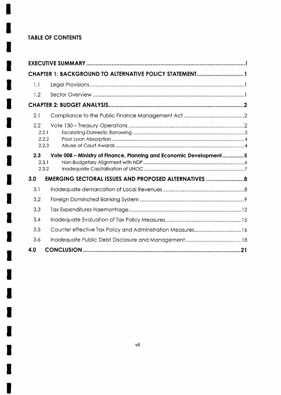# **TABLE OF CONTENTS**

|     | CHAPTER 1: BACKGROUND TO ALTERNATIVE POLICY STATEMENT1                               |  |  |  |  |  |  |
|-----|--------------------------------------------------------------------------------------|--|--|--|--|--|--|
| 1.1 |                                                                                      |  |  |  |  |  |  |
| 1.2 |                                                                                      |  |  |  |  |  |  |
|     |                                                                                      |  |  |  |  |  |  |
| 2.1 |                                                                                      |  |  |  |  |  |  |
| 2.2 | 2.2.1                                                                                |  |  |  |  |  |  |
|     | 2.2.2<br>2.2.3                                                                       |  |  |  |  |  |  |
| 2.3 | Vote 008 - Ministry of Finance, Planning and Economic Development5<br>2.3.1<br>2.3.2 |  |  |  |  |  |  |
| 3.0 | <b>EMERGING SECTORAL ISSUES AND PROPOSED ALTERNATIVES  8</b>                         |  |  |  |  |  |  |
| 3.1 |                                                                                      |  |  |  |  |  |  |
| 3.2 |                                                                                      |  |  |  |  |  |  |
| 3.3 |                                                                                      |  |  |  |  |  |  |
| 3.4 |                                                                                      |  |  |  |  |  |  |
| 3.5 |                                                                                      |  |  |  |  |  |  |
| 3.6 |                                                                                      |  |  |  |  |  |  |
| 4.0 |                                                                                      |  |  |  |  |  |  |

 $\bar{\mathcal{L}}$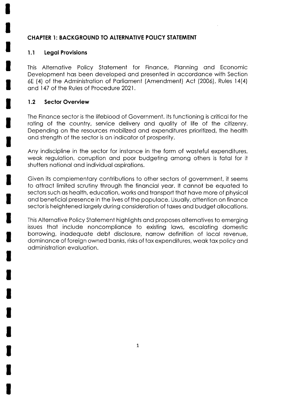# CHAPTER 1: BACKGROUND TO ALTERNATIVE POLICY STATEMENT

# l.l Legol Provisions

This Alternotive Policy Stotement for Finonce, Plonning ond Economic Development hos been developed ond presented in occordonce with Section 6E (4) of the Administrotion of Porlioment (Amendment) Act (2006), Rules 14(4) ond I 47 of the Rules of Procedvre 2021.

# 1.2 Sector Overview

The Finonce sector is the lifeblood of Government. lts functioning is criticol for the rating of the country, service delivery and quality of life of the citizenry. Depending on the resources mobilized ond expenditures prioritized, the heolth ond strength of the sector is on indicotor of prosperity.

Any indiscipline in the sector for instonce in the form of wosteful expenditures, weak regulation, corruption and poor budgeting among others is fatal for it shutters notionol ond individuol ospirotions.

Given its complementory contributions to other sectors of government, it seems to ottroct limited scrutiny through the finonciol yeor. lt connot be equoted to sectors such as health, education, works and transport that have more of physical ond beneficiol presence in the lives of the populoce. Usuolly, ottention on finonce sector is heightened lorgely during considerotion of toxes ond budget ollocotions.

This Alternotive Policy Stotement highlights ond proposes olternotives to emerging issues that include noncompliance to existing laws, escalating domestic borrowing, inodequote debt disclosure, norrow definition of locol revenue, dominonce of foreign owned bonks, risks of tox expenditures, weok tox policy ond odministrotion evoluotion.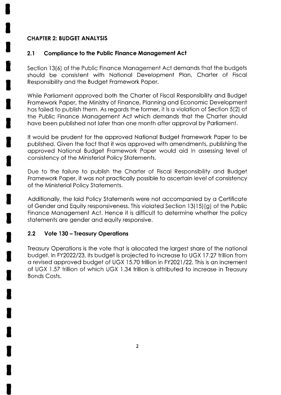# **CHAPTER 2: BUDGET ANALYSIS**

#### $2.1$ **Compliance to the Public Finance Management Act**

Section 13(6) of the Public Finance Management Act demands that the budgets should be consistent with National Development Plan, Charter of Fiscal Responsibility and the Budget Framework Paper.

While Parliament approved both the Charter of Fiscal Responsibility and Budget Framework Paper, the Ministry of Finance, Planning and Economic Development has failed to publish them. As regards the former, it is a violation of Section 5(2) of the Public Finance Management Act which demands that the Charter should have been published not later than one month after approval by Parliament.

It would be prudent for the approved National Budget Framework Paper to be published. Given the fact that it was approved with amendments, publishing the approved National Budget Framework Paper would aid in assessing level of consistency of the Ministerial Policy Statements.

Due to the failure to publish the Charter of Fiscal Responsibility and Budget Framework Paper, it was not practically possible to ascertain level of consistency of the Ministerial Policy Statements.

Additionally, the laid Policy Statements were not accompanied by a Certificate of Gender and Equity responsiveness. This violated Section 13(15)(g) of the Public Finance Management Act. Hence it is difficult to determine whether the policy statements are gender and equity responsive.

#### $2.2$ **Vote 130 - Treasury Operations**

Treasury Operations is the vote that is allocated the largest share of the national budget. In FY2022/23, its budget is projected to increase to UGX 17.27 trillion from a revised approved budget of UGX 15.70 trillion in FY2021/22. This is an increment of UGX 1.57 trillion of which UGX 1.34 trillion is attributed to increase in Treasury **Bonds Costs.**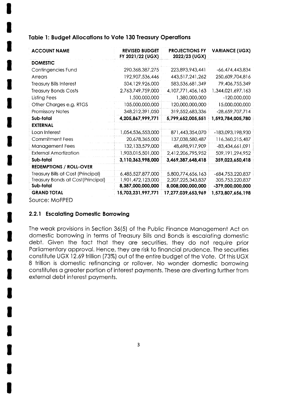# Table 1: Budget Allocations to Vote 130 Treasury Operations

| <b>ACCOUNT NAME</b>                | <b>REVISED BUDGET</b><br>FY 2021/22 (UGX) | <b>PROJECTIONS FY</b><br>2022/23 (UGX) | <b>VARIANCE (UGX)</b> |
|------------------------------------|-------------------------------------------|----------------------------------------|-----------------------|
| <b>DOMESTIC</b>                    |                                           |                                        |                       |
| Contingencies Fund                 | 290, 368, 387, 275                        | 223,893,943,441                        | -66,474,443,834       |
| Arrears                            | 192,907,536,446                           | 443,517,241,262                        | 250,609,704,816       |
| <b>Treasury Bills Interest</b>     | 504,129,926,000                           | 583, 536, 681, 349                     | 79,406,755,349        |
| <b>Treasury Bonds Costs</b>        | 2,763,749,759,000                         | 4, 107, 771, 456, 163                  | 1,344,021,697,163     |
| Listing Fees                       | 1,500,000,000                             | 1,380,000,000                          | $-120,000,000$        |
| Other Charges e.g. RTGS            | 105,000,000,000                           | 120,000,000,000                        | 15,000,000,000        |
| <b>Promissory Notes</b>            | 348,212,391,050                           | 319,552,683,336                        | $-28,659,707,714$     |
| Sub-total                          | 4,205,867,999,771                         | 5,799,652,005,551                      | 1,593,784,005,780     |
| <b>EXTERNAL</b>                    |                                           |                                        |                       |
| Loan Interest                      | 1,054,536,553,000                         | 871,443,354,070                        | -183,093,198,930      |
| <b>Commitment Fees</b>             | 20,678,365,000                            | 137,038,580,487                        | 116,360,215,487       |
| <b>Management Fees</b>             | 132, 133, 579, 000                        | 48,698,917,909                         | -83,434,661,091       |
| <b>External Amortization</b>       | 1,903,015,501,000                         | 2,412,206,795,952                      | 509, 191, 294, 952    |
| Sub-total                          | 3,110,363,998,000                         | 3,469,387,648,418                      | 359,023,650,418       |
| <b>REDEMPTIONS / ROLL-OVER</b>     |                                           |                                        |                       |
| Treasury Bills at Cost (Principal) | 6,485,527,877,000                         | 5,800,774,656,163                      | -684,753,220,837      |
| Treasury Bonds at Cost(Principal)  | 1,901,472,123,000                         | 2,207,225,343,837                      | 305,753,220,837       |
| Sub-total                          | 8,387,000,000,000                         | 8,008,000,000,000                      | -379,000,000,000      |
| <b>GRAND TOTAL</b>                 | 15,703,231,997,771                        | 17,277,039,653,969                     | 1,573,807,656,198     |
| Source: MoFPED                     |                                           |                                        |                       |

# 2.2.1 Escalating Domestic Borrowing

The weak provisions in Section 36(5) of the Public Finance Management Act on domestic borrowing in terms of Treasury Bills and Bonds is escalating domestic debt. Given the fact that they are securities, they do not require prior Parliamentary approval. Hence, they are risk to financial prudence. The securities constitute UGX 12.69 trillion (73%) out of the entire budget of the Vote. Of this UGX 8 trillion is domestic refinancing or rollover. No wonder domestic borrowing constitutes a greater portion of interest payments. These are diverting further from external debt interest payments.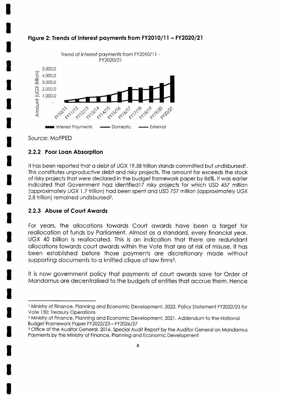

# Figure 2: Trends of interest payments from FY2010/11 - FY2020/21

Source: MoFPED

# 2.2.2 Poor Loan Absorption

It has been reported that a debt of UGX 19.58 trillion stands committed but undisbursed<sup>1</sup>. This constitutes unproductive debt and risky projects. The amount far exceeds the stock of risky projects that were declared in the budget framework paper by 86%. It was earlier indicated that Government had identified17 risky projects for which USD 457 million (approximately UGX 1.7 trillion) had been spent and USD 757 million (approximately UGX 2.8 trillion) remained undisbursed<sup>2</sup>.

### 2.2.3 Abuse of Court Awards

For years, the allocations towards Court awards have been a target for reallocation of funds by Parliament. Almost as a standard, every financial year, UGX 40 billion is reallocated. This is an indication that there are redundant allocations towards court awards within the Vote that are at risk of misuse. It has been established before those payments are discretionary made without supporting documents to a knitted clique of law firms<sup>3</sup>.

It is now government policy that payments of court awards save for Order of Mandamus are decentralised to the budgets of entities that accrue them. Hence

<sup>&</sup>lt;sup>1</sup> Ministry of Finance, Planning and Economic Development, 2022. Policy Statement FY2022/23 for Vote 130: Treasury Operations

<sup>&</sup>lt;sup>2</sup> Ministry of Finance, Planning and Economic Development, 2021. Addendum to the National Budget Framework Paper FY2022/23 - FY2026/27

<sup>&</sup>lt;sup>3</sup> Office of the Auditor General, 2016. Special Audit Report by the Auditor General on Mandamus Payments by the Ministry of Finance, Planning and Economic Development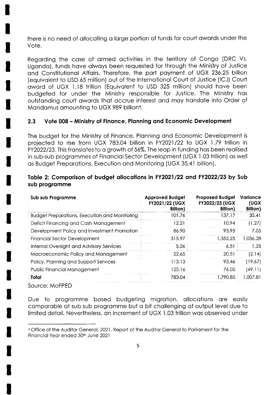there is no need of allocating a large portion of funds for court awards under the Vote.

Regarding the case of armed activities in the territory of Congo (DRC Vs. Uganda), funds have always been requested for through the Ministry of Justice and Constitutional Affairs. Therefore, the part payment of UGX 236.25 billion (equivalent to USD 65 million) out of the International Court of Justice (ICJ) Court award of UGX 1.18 trillion (Equivalent to USD 325 million) should have been budgeted for under the Ministry responsible for Justice. The Ministry has outstanding court awards that accrue interest and may translate into Order of Mandamus amounting to UGX 989 billion<sup>4</sup>.

#### $2.3$ Vote 008 – Ministry of Finance, Planning and Economic Development

The budget for the Ministry of Finance, Planning and Economic Development is projected to rise from UGX 783.04 billion in FY2021/22 to UGX 1.79 trillion in FY2022/23. This translates to a growth of 56%. The leap in funding has been realised in sub-sub programmes of Financial Sector Development (UGX 1.03 trillion) as well as Budget Preparations, Execution and Monitoring (UGX 35.41 billion).

# Table 2: Comparison of budget allocations in FY2021/22 and FY2022/23 by Sub sub programme

| Sub sub Programme                                    | <b>Approved Budget</b><br>FY2021/22 (UGX<br>Billion) | <b>Proposed Budget</b><br><b>FY2022/23 (UGX</b><br>Billion) | Variance<br>(UGX<br><b>Billion)</b> |
|------------------------------------------------------|------------------------------------------------------|-------------------------------------------------------------|-------------------------------------|
| <b>Budget Preparations, Execution and Monitoring</b> | 101.76                                               | 137.17                                                      | 35.41                               |
| Deficit Financing and Cash Management                | 12.21                                                | 10.94                                                       | (1.27)                              |
| Development Policy and Investment Promotion          | 86.90                                                | 93.95                                                       | 7.05                                |
| <b>Financial Sector Development</b>                  | 315.97                                               | 1.352.25                                                    | 1,036.28                            |
| Internal Oversight and Advisory Services             | 5.26                                                 | 6.51                                                        | 1.25                                |
| Macroeconomic Policy and Management                  | 22.65                                                | 20.51                                                       | (2.14)                              |
| Policy, Planning and Support Services                | 113.13                                               | 93.46                                                       | (19.67)                             |
| Public Financial Management                          | 125.16                                               | 76.05                                                       | (49.11)                             |
| Total                                                | 783.04                                               | 1,790.85                                                    | 1,007.81                            |
| Source: MoFPFD                                       |                                                      |                                                             |                                     |

Due to programme based budgeting migration, allocations are easily comparable at sub sub programme but a bit challenging at output level due to limited detail. Nevertheless, an increment of UGX 1.03 trillion was observed under

<sup>4</sup> Office of the Auditor General, 2021, Report of the Auditor General to Parliament for the Financial Year ended 30th June 2021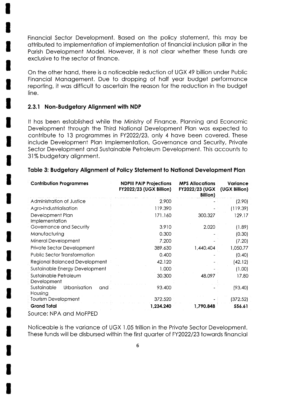Financial Sector Development. Based on the policy statement, this may be attributed to implementation of implementation of financial inclusion pillar in the Parish Development Model. However, it is not clear whether these funds are exclusive to the sector of finance.

On the other hand, there is a noticeable reduction of UGX 49 billion under Public Financial Management. Due to dropping of half year budget performance reporting, it was difficult to ascertain the reason for the reduction in the budget line.

#### 2.3.1 Non-Budgetary Alignment with NDP

It has been established while the Ministry of Finance, Planning and Economic Development through the Third National Development Plan was expected to contribute to 13 programmes in FY2022/23, only 4 have been covered. These include Development Plan Implementation, Governance and Security, Private Sector Development and Sustainable Petroleum Development. This accounts to 31% budgetary alignment.

| <b>Contribution Programmes</b>                | <b>NDPIII PAIP Projections</b><br><b>FY2022/23 (UGX Billion)</b> | <b>MPS Allocations</b><br><b>FY2022/23 (UGX   (UGX Billion)</b><br><b>Billion</b> ) | Variance |
|-----------------------------------------------|------------------------------------------------------------------|-------------------------------------------------------------------------------------|----------|
| Administration of Justice                     | 2.900                                                            |                                                                                     | (2.90)   |
| Agro-Industrialisation                        | 119.390                                                          |                                                                                     | (119.39) |
| Development Plan<br>Implementation            | 171.160                                                          | 300.327                                                                             | 129.17   |
| Governance and Security                       | 3.910                                                            | 2.020                                                                               | (1.89)   |
| Manufacturing                                 | 0.300                                                            |                                                                                     | (0.30)   |
| Mineral Development                           | 7.200                                                            |                                                                                     | (7.20)   |
| Private Sector Development                    | 389.630                                                          | 1,440.404                                                                           | 1,050.77 |
| <b>Public Sector Transformation</b>           | 0.400                                                            |                                                                                     | (0.40)   |
| Regional Balanced Development                 | 42.120                                                           |                                                                                     | (42.12)  |
| Sustainable Energy Development                | 1.000                                                            |                                                                                     | (1.00)   |
| Sustainable Petroleum<br>Development          | 30.300                                                           | 48.097                                                                              | 17.80    |
| Urbanisation<br>Sustainable<br>and<br>Housing | 93.400                                                           |                                                                                     | (93.40)  |
| <b>Tourism Development</b>                    | 372.520                                                          |                                                                                     | (372.52) |
| <b>Grand Total</b>                            | 1,234.240                                                        | 1,790.848                                                                           | 556.61   |
| Source: NPA and MoFPED                        |                                                                  |                                                                                     |          |

#### Table 3: Budgetary Alignment of Policy Statement to National Development Plan

Noticeable is the variance of UGX 1.05 trillion in the Private Sector Development. These funds will be disbursed within the first quarter of FY2022/23 towards financial